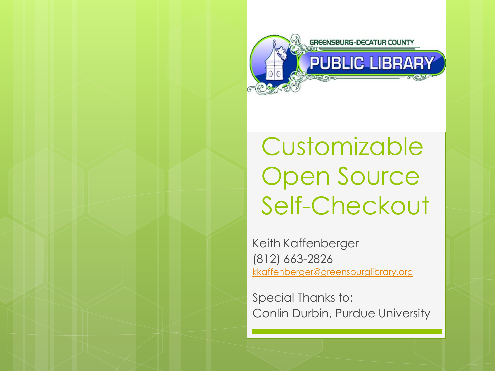

Keith Kaffenberger (812) 663-2826 [kkaffenberger@greensburglibrary.org](mailto:kkaffenberger@greensburglibrary.org)

Special Thanks to: Conlin Durbin, Purdue University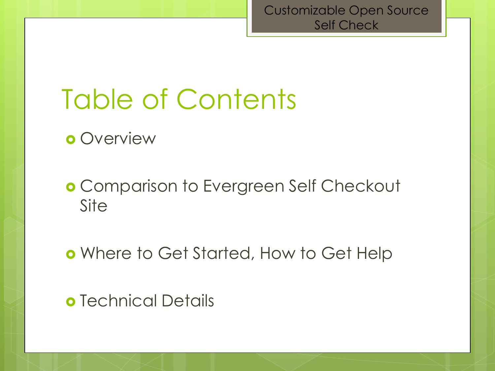# Table of Contents

**o** Overview

**o** Comparison to Evergreen Self Checkout **Site** 

Where to Get Started, How to Get Help

**o** Technical Details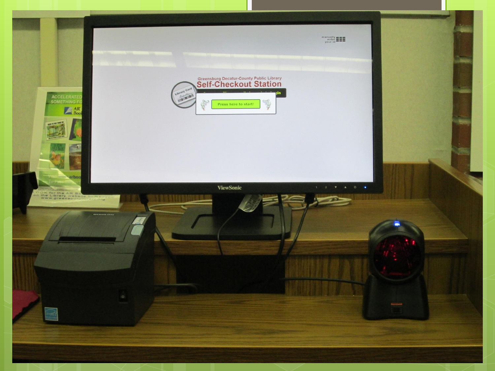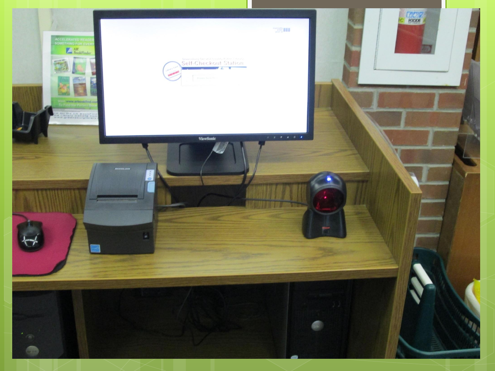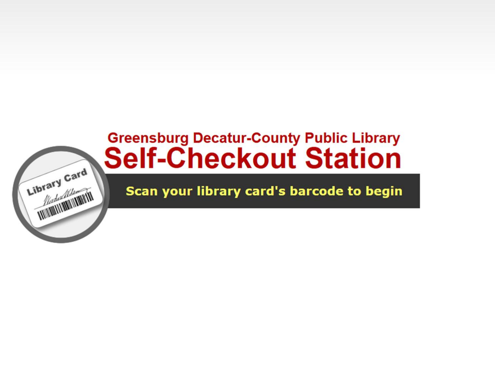### **Greensburg Decatur-County Public Library Self-Checkout Station**

Scan your library card's barcode to begin

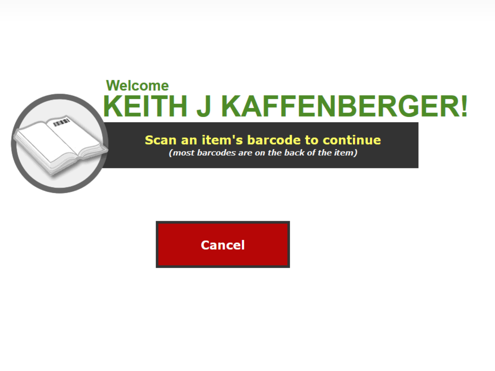### **Welcome KEITH J KAFFENBERGER!**

#### Scan an item's barcode to continue

(most barcodes are on the back of the item)

**Cancel** 

**LEEK**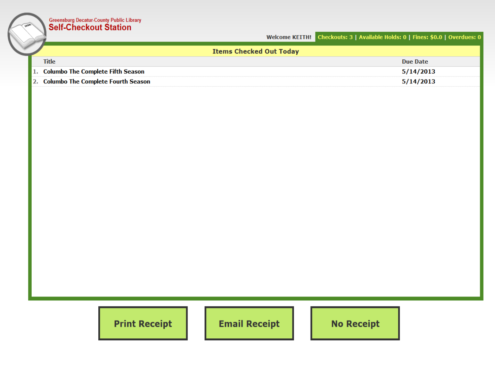Welcome KEITH! Checkouts: 3 | Available Holds: 0 | Fines: \$0.0 | Overdues: 0

| <b>Items Checked Out Today</b>            |           |
|-------------------------------------------|-----------|
| <b>Title</b>                              | Due Date  |
| <b>Columbo The Complete Fifth Season</b>  | 5/14/2013 |
| <b>Columbo The Complete Fourth Season</b> | 5/14/2013 |

**Print Receipt Email Receipt No Receipt**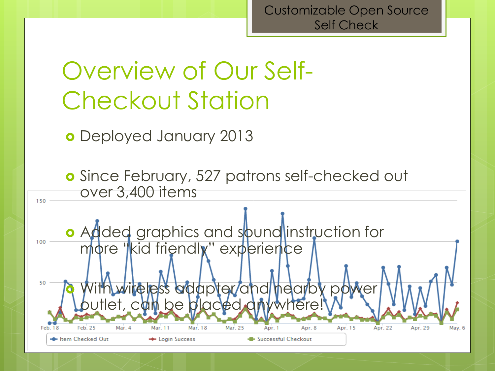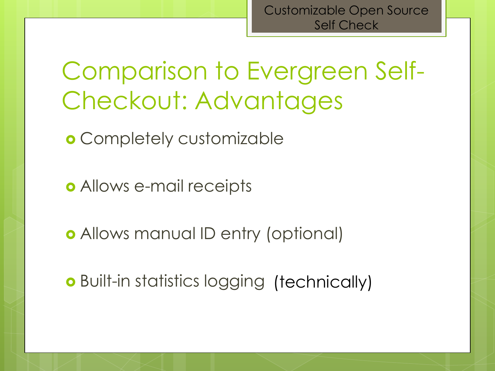Comparison to Evergreen Self-Checkout: Advantages

**o** Completely customizable

Allows e-mail receipts

Allows manual ID entry (optional)

Built-in statistics logging (technically)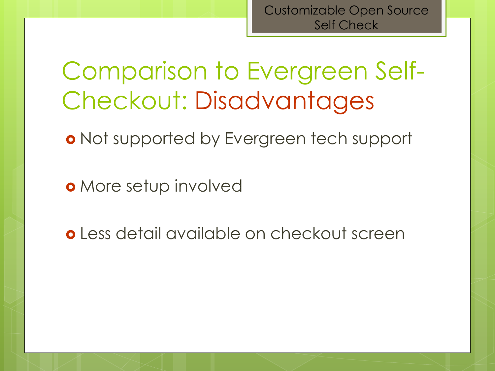Comparison to Evergreen Self-Checkout: Disadvantages

o Not supported by Evergreen tech support

More setup involved

Less detail available on checkout screen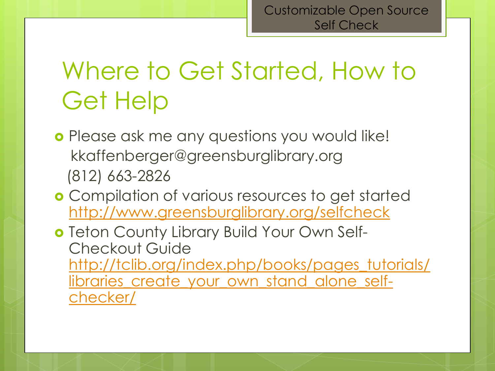## Where to Get Started, How to Get Help

- **o** Please ask me any questions you would like! kkaffenberger@greensburglibrary.org (812) 663-2826
- **o** Compilation of various resources to get started <http://www.greensburglibrary.org/selfcheck>

**o** Teton County Library Build Your Own Self-Checkout Guide [http://tclib.org/index.php/books/pages\\_tutorials/](http://tclib.org/index.php/books/pages_tutorials/libraries_create_your_own_stand_alone_self-checker/) libraries create your own stand alone self[checker/](http://tclib.org/index.php/books/pages_tutorials/libraries_create_your_own_stand_alone_self-checker/)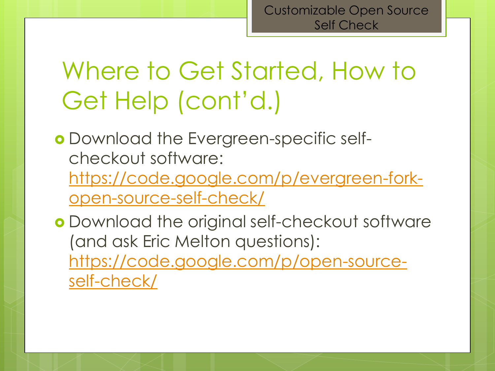## Where to Get Started, How to Get Help (cont'd.)

- Download the Evergreen-specific selfcheckout software: [https://code.google.com/p/evergreen-fork](https://code.google.com/p/evergreen-fork-open-source-self-check/)[open-source-self-check/](https://code.google.com/p/evergreen-fork-open-source-self-check/)
- Download the original self-checkout software (and ask Eric Melton questions): [https://code.google.com/p/open-source](https://code.google.com/p/open-source-self-check/)[self-check/](https://code.google.com/p/open-source-self-check/)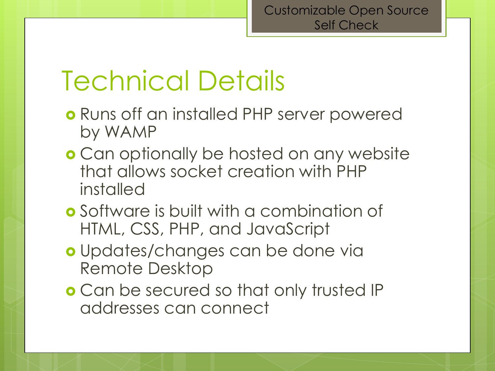## Technical Details

- Runs off an installed PHP server powered by WAMP
- **o** Can optionally be hosted on any website that allows socket creation with PHP installed
- Software is built with a combination of HTML, CSS, PHP, and JavaScript
- Updates/changes can be done via Remote Desktop
- **o** Can be secured so that only trusted IP addresses can connect